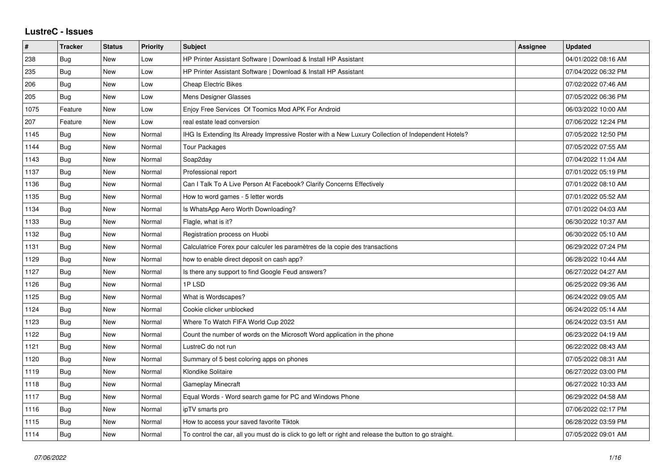## **LustreC - Issues**

| $\vert$ # | <b>Tracker</b> | <b>Status</b> | <b>Priority</b> | <b>Subject</b>                                                                                          | <b>Assignee</b> | <b>Updated</b>      |
|-----------|----------------|---------------|-----------------|---------------------------------------------------------------------------------------------------------|-----------------|---------------------|
| 238       | Bug            | <b>New</b>    | Low             | HP Printer Assistant Software   Download & Install HP Assistant                                         |                 | 04/01/2022 08:16 AM |
| 235       | Bug            | <b>New</b>    | Low             | HP Printer Assistant Software   Download & Install HP Assistant                                         |                 | 07/04/2022 06:32 PM |
| 206       | Bug            | New           | Low             | <b>Cheap Electric Bikes</b>                                                                             |                 | 07/02/2022 07:46 AM |
| 205       | Bug            | New           | Low             | Mens Designer Glasses                                                                                   |                 | 07/05/2022 06:36 PM |
| 1075      | Feature        | <b>New</b>    | Low             | Enjoy Free Services Of Toomics Mod APK For Android                                                      |                 | 06/03/2022 10:00 AM |
| 207       | Feature        | New           | Low             | real estate lead conversion                                                                             |                 | 07/06/2022 12:24 PM |
| 1145      | Bug            | <b>New</b>    | Normal          | IHG Is Extending Its Already Impressive Roster with a New Luxury Collection of Independent Hotels?      |                 | 07/05/2022 12:50 PM |
| 1144      | Bug            | New           | Normal          | Tour Packages                                                                                           |                 | 07/05/2022 07:55 AM |
| 1143      | Bug            | New           | Normal          | Soap2day                                                                                                |                 | 07/04/2022 11:04 AM |
| 1137      | Bug            | <b>New</b>    | Normal          | Professional report                                                                                     |                 | 07/01/2022 05:19 PM |
| 1136      | <b>Bug</b>     | New           | Normal          | Can I Talk To A Live Person At Facebook? Clarify Concerns Effectively                                   |                 | 07/01/2022 08:10 AM |
| 1135      | Bug            | New           | Normal          | How to word games - 5 letter words                                                                      |                 | 07/01/2022 05:52 AM |
| 1134      | Bug            | <b>New</b>    | Normal          | Is WhatsApp Aero Worth Downloading?                                                                     |                 | 07/01/2022 04:03 AM |
| 1133      | <b>Bug</b>     | New           | Normal          | Flagle, what is it?                                                                                     |                 | 06/30/2022 10:37 AM |
| 1132      | Bug            | New           | Normal          | Registration process on Huobi                                                                           |                 | 06/30/2022 05:10 AM |
| 1131      | Bug            | <b>New</b>    | Normal          | Calculatrice Forex pour calculer les paramètres de la copie des transactions                            |                 | 06/29/2022 07:24 PM |
| 1129      | <b>Bug</b>     | <b>New</b>    | Normal          | how to enable direct deposit on cash app?                                                               |                 | 06/28/2022 10:44 AM |
| 1127      | Bug            | New           | Normal          | Is there any support to find Google Feud answers?                                                       |                 | 06/27/2022 04:27 AM |
| 1126      | Bug            | <b>New</b>    | Normal          | 1PLSD                                                                                                   |                 | 06/25/2022 09:36 AM |
| 1125      | Bug            | New           | Normal          | What is Wordscapes?                                                                                     |                 | 06/24/2022 09:05 AM |
| 1124      | Bug            | New           | Normal          | Cookie clicker unblocked                                                                                |                 | 06/24/2022 05:14 AM |
| 1123      | Bug            | <b>New</b>    | Normal          | Where To Watch FIFA World Cup 2022                                                                      |                 | 06/24/2022 03:51 AM |
| 1122      | <b>Bug</b>     | <b>New</b>    | Normal          | Count the number of words on the Microsoft Word application in the phone                                |                 | 06/23/2022 04:19 AM |
| 1121      | <b>Bug</b>     | <b>New</b>    | Normal          | LustreC do not run                                                                                      |                 | 06/22/2022 08:43 AM |
| 1120      | <b>Bug</b>     | <b>New</b>    | Normal          | Summary of 5 best coloring apps on phones                                                               |                 | 07/05/2022 08:31 AM |
| 1119      | <b>Bug</b>     | New           | Normal          | Klondike Solitaire                                                                                      |                 | 06/27/2022 03:00 PM |
| 1118      | Bug            | New           | Normal          | <b>Gameplay Minecraft</b>                                                                               |                 | 06/27/2022 10:33 AM |
| 1117      | Bug            | <b>New</b>    | Normal          | Equal Words - Word search game for PC and Windows Phone                                                 |                 | 06/29/2022 04:58 AM |
| 1116      | <b>Bug</b>     | <b>New</b>    | Normal          | ipTV smarts pro                                                                                         |                 | 07/06/2022 02:17 PM |
| 1115      | Bug            | New           | Normal          | How to access your saved favorite Tiktok                                                                |                 | 06/28/2022 03:59 PM |
| 1114      | Bug            | <b>New</b>    | Normal          | To control the car, all you must do is click to go left or right and release the button to go straight. |                 | 07/05/2022 09:01 AM |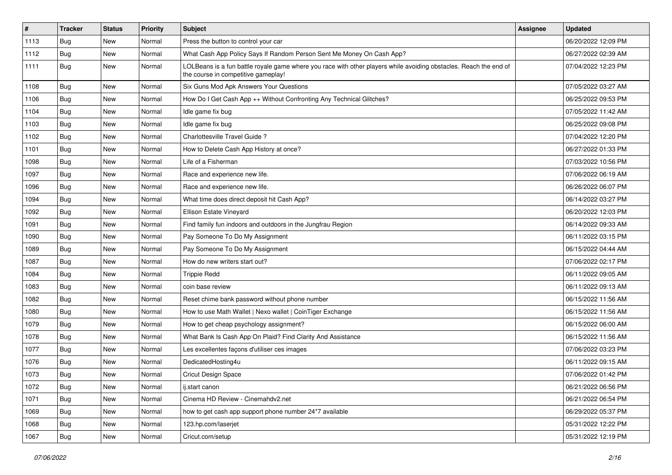| $\vert$ # | <b>Tracker</b> | <b>Status</b> | <b>Priority</b> | <b>Subject</b>                                                                                                                                           | <b>Assignee</b> | <b>Updated</b>      |
|-----------|----------------|---------------|-----------------|----------------------------------------------------------------------------------------------------------------------------------------------------------|-----------------|---------------------|
| 1113      | <b>Bug</b>     | New           | Normal          | Press the button to control your car                                                                                                                     |                 | 06/20/2022 12:09 PM |
| 1112      | Bug            | <b>New</b>    | Normal          | What Cash App Policy Says If Random Person Sent Me Money On Cash App?                                                                                    |                 | 06/27/2022 02:39 AM |
| 1111      | Bug            | New           | Normal          | LOLBeans is a fun battle royale game where you race with other players while avoiding obstacles. Reach the end of<br>the course in competitive gameplay! |                 | 07/04/2022 12:23 PM |
| 1108      | Bug            | <b>New</b>    | Normal          | Six Guns Mod Apk Answers Your Questions                                                                                                                  |                 | 07/05/2022 03:27 AM |
| 1106      | Bug            | New           | Normal          | How Do I Get Cash App ++ Without Confronting Any Technical Glitches?                                                                                     |                 | 06/25/2022 09:53 PM |
| 1104      | <b>Bug</b>     | <b>New</b>    | Normal          | Idle game fix bug                                                                                                                                        |                 | 07/05/2022 11:42 AM |
| 1103      | Bug            | New           | Normal          | Idle game fix bug                                                                                                                                        |                 | 06/25/2022 09:08 PM |
| 1102      | Bug            | New           | Normal          | Charlottesville Travel Guide?                                                                                                                            |                 | 07/04/2022 12:20 PM |
| 1101      | Bug            | <b>New</b>    | Normal          | How to Delete Cash App History at once?                                                                                                                  |                 | 06/27/2022 01:33 PM |
| 1098      | Bug            | New           | Normal          | Life of a Fisherman                                                                                                                                      |                 | 07/03/2022 10:56 PM |
| 1097      | <b>Bug</b>     | New           | Normal          | Race and experience new life.                                                                                                                            |                 | 07/06/2022 06:19 AM |
| 1096      | Bug            | <b>New</b>    | Normal          | Race and experience new life.                                                                                                                            |                 | 06/26/2022 06:07 PM |
| 1094      | <b>Bug</b>     | New           | Normal          | What time does direct deposit hit Cash App?                                                                                                              |                 | 06/14/2022 03:27 PM |
| 1092      | Bug            | New           | Normal          | Ellison Estate Vineyard                                                                                                                                  |                 | 06/20/2022 12:03 PM |
| 1091      | Bug            | New           | Normal          | Find family fun indoors and outdoors in the Jungfrau Region                                                                                              |                 | 06/14/2022 09:33 AM |
| 1090      | Bug            | New           | Normal          | Pay Someone To Do My Assignment                                                                                                                          |                 | 06/11/2022 03:15 PM |
| 1089      | Bug            | <b>New</b>    | Normal          | Pay Someone To Do My Assignment                                                                                                                          |                 | 06/15/2022 04:44 AM |
| 1087      | Bug            | New           | Normal          | How do new writers start out?                                                                                                                            |                 | 07/06/2022 02:17 PM |
| 1084      | <b>Bug</b>     | New           | Normal          | <b>Trippie Redd</b>                                                                                                                                      |                 | 06/11/2022 09:05 AM |
| 1083      | Bug            | New           | Normal          | coin base review                                                                                                                                         |                 | 06/11/2022 09:13 AM |
| 1082      | <b>Bug</b>     | New           | Normal          | Reset chime bank password without phone number                                                                                                           |                 | 06/15/2022 11:56 AM |
| 1080      | Bug            | New           | Normal          | How to use Math Wallet   Nexo wallet   CoinTiger Exchange                                                                                                |                 | 06/15/2022 11:56 AM |
| 1079      | Bug            | New           | Normal          | How to get cheap psychology assignment?                                                                                                                  |                 | 06/15/2022 06:00 AM |
| 1078      | <b>Bug</b>     | New           | Normal          | What Bank Is Cash App On Plaid? Find Clarity And Assistance                                                                                              |                 | 06/15/2022 11:56 AM |
| 1077      | Bug            | <b>New</b>    | Normal          | Les excellentes façons d'utiliser ces images                                                                                                             |                 | 07/06/2022 03:23 PM |
| 1076      | <b>Bug</b>     | New           | Normal          | DedicatedHosting4u                                                                                                                                       |                 | 06/11/2022 09:15 AM |
| 1073      | <b>Bug</b>     | New           | Normal          | Cricut Design Space                                                                                                                                      |                 | 07/06/2022 01:42 PM |
| 1072      | <b>Bug</b>     | New           | Normal          | ij.start canon                                                                                                                                           |                 | 06/21/2022 06:56 PM |
| 1071      | Bug            | New           | Normal          | Cinema HD Review - Cinemahdv2.net                                                                                                                        |                 | 06/21/2022 06:54 PM |
| 1069      | <b>Bug</b>     | New           | Normal          | how to get cash app support phone number 24*7 available                                                                                                  |                 | 06/29/2022 05:37 PM |
| 1068      | Bug            | New           | Normal          | 123.hp.com/laserjet                                                                                                                                      |                 | 05/31/2022 12:22 PM |
| 1067      | <b>Bug</b>     | New           | Normal          | Cricut.com/setup                                                                                                                                         |                 | 05/31/2022 12:19 PM |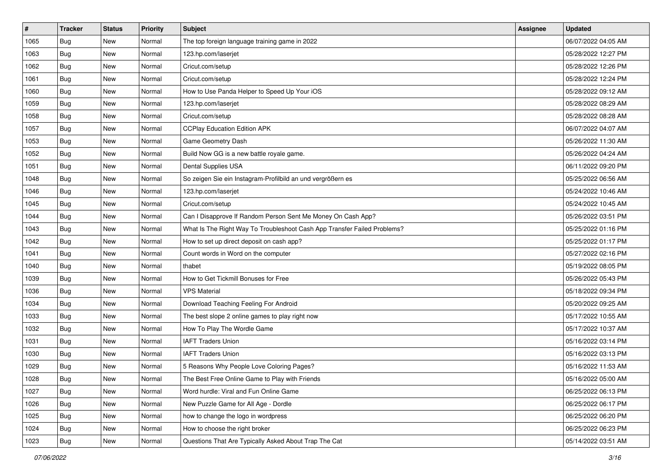| $\vert$ # | <b>Tracker</b> | <b>Status</b> | <b>Priority</b> | <b>Subject</b>                                                           | <b>Assignee</b> | <b>Updated</b>      |
|-----------|----------------|---------------|-----------------|--------------------------------------------------------------------------|-----------------|---------------------|
| 1065      | <b>Bug</b>     | New           | Normal          | The top foreign language training game in 2022                           |                 | 06/07/2022 04:05 AM |
| 1063      | Bug            | New           | Normal          | 123.hp.com/laserjet                                                      |                 | 05/28/2022 12:27 PM |
| 1062      | <b>Bug</b>     | New           | Normal          | Cricut.com/setup                                                         |                 | 05/28/2022 12:26 PM |
| 1061      | <b>Bug</b>     | New           | Normal          | Cricut.com/setup                                                         |                 | 05/28/2022 12:24 PM |
| 1060      | <b>Bug</b>     | <b>New</b>    | Normal          | How to Use Panda Helper to Speed Up Your iOS                             |                 | 05/28/2022 09:12 AM |
| 1059      | Bug            | New           | Normal          | 123.hp.com/laserjet                                                      |                 | 05/28/2022 08:29 AM |
| 1058      | <b>Bug</b>     | New           | Normal          | Cricut.com/setup                                                         |                 | 05/28/2022 08:28 AM |
| 1057      | Bug            | New           | Normal          | <b>CCPlay Education Edition APK</b>                                      |                 | 06/07/2022 04:07 AM |
| 1053      | <b>Bug</b>     | New           | Normal          | Game Geometry Dash                                                       |                 | 05/26/2022 11:30 AM |
| 1052      | <b>Bug</b>     | New           | Normal          | Build Now GG is a new battle royale game.                                |                 | 05/26/2022 04:24 AM |
| 1051      | Bug            | New           | Normal          | Dental Supplies USA                                                      |                 | 06/11/2022 09:20 PM |
| 1048      | Bug            | New           | Normal          | So zeigen Sie ein Instagram-Profilbild an und vergrößern es              |                 | 05/25/2022 06:56 AM |
| 1046      | Bug            | New           | Normal          | 123.hp.com/laserjet                                                      |                 | 05/24/2022 10:46 AM |
| 1045      | <b>Bug</b>     | New           | Normal          | Cricut.com/setup                                                         |                 | 05/24/2022 10:45 AM |
| 1044      | <b>Bug</b>     | New           | Normal          | Can I Disapprove If Random Person Sent Me Money On Cash App?             |                 | 05/26/2022 03:51 PM |
| 1043      | Bug            | New           | Normal          | What Is The Right Way To Troubleshoot Cash App Transfer Failed Problems? |                 | 05/25/2022 01:16 PM |
| 1042      | <b>Bug</b>     | New           | Normal          | How to set up direct deposit on cash app?                                |                 | 05/25/2022 01:17 PM |
| 1041      | Bug            | New           | Normal          | Count words in Word on the computer                                      |                 | 05/27/2022 02:16 PM |
| 1040      | <b>Bug</b>     | New           | Normal          | thabet                                                                   |                 | 05/19/2022 08:05 PM |
| 1039      | <b>Bug</b>     | New           | Normal          | How to Get Tickmill Bonuses for Free                                     |                 | 05/26/2022 05:43 PM |
| 1036      | Bug            | New           | Normal          | <b>VPS Material</b>                                                      |                 | 05/18/2022 09:34 PM |
| 1034      | Bug            | New           | Normal          | Download Teaching Feeling For Android                                    |                 | 05/20/2022 09:25 AM |
| 1033      | Bug            | New           | Normal          | The best slope 2 online games to play right now                          |                 | 05/17/2022 10:55 AM |
| 1032      | Bug            | New           | Normal          | How To Play The Wordle Game                                              |                 | 05/17/2022 10:37 AM |
| 1031      | Bug            | New           | Normal          | <b>IAFT Traders Union</b>                                                |                 | 05/16/2022 03:14 PM |
| 1030      | <b>Bug</b>     | New           | Normal          | <b>IAFT Traders Union</b>                                                |                 | 05/16/2022 03:13 PM |
| 1029      | <b>Bug</b>     | New           | Normal          | 5 Reasons Why People Love Coloring Pages?                                |                 | 05/16/2022 11:53 AM |
| 1028      | <b>Bug</b>     | New           | Normal          | The Best Free Online Game to Play with Friends                           |                 | 05/16/2022 05:00 AM |
| 1027      | Bug            | New           | Normal          | Word hurdle: Viral and Fun Online Game                                   |                 | 06/25/2022 06:13 PM |
| 1026      | Bug            | New           | Normal          | New Puzzle Game for All Age - Dordle                                     |                 | 06/25/2022 06:17 PM |
| 1025      | Bug            | New           | Normal          | how to change the logo in wordpress                                      |                 | 06/25/2022 06:20 PM |
| 1024      | <b>Bug</b>     | New           | Normal          | How to choose the right broker                                           |                 | 06/25/2022 06:23 PM |
| 1023      | Bug            | New           | Normal          | Questions That Are Typically Asked About Trap The Cat                    |                 | 05/14/2022 03:51 AM |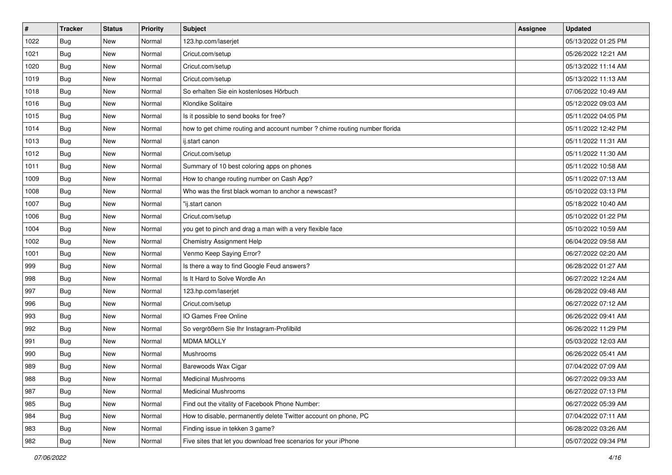| $\vert$ # | <b>Tracker</b> | <b>Status</b> | <b>Priority</b> | <b>Subject</b>                                                             | <b>Assignee</b> | <b>Updated</b>      |
|-----------|----------------|---------------|-----------------|----------------------------------------------------------------------------|-----------------|---------------------|
| 1022      | <b>Bug</b>     | New           | Normal          | 123.hp.com/laserjet                                                        |                 | 05/13/2022 01:25 PM |
| 1021      | Bug            | New           | Normal          | Cricut.com/setup                                                           |                 | 05/26/2022 12:21 AM |
| 1020      | Bug            | New           | Normal          | Cricut.com/setup                                                           |                 | 05/13/2022 11:14 AM |
| 1019      | <b>Bug</b>     | New           | Normal          | Cricut.com/setup                                                           |                 | 05/13/2022 11:13 AM |
| 1018      | Bug            | New           | Normal          | So erhalten Sie ein kostenloses Hörbuch                                    |                 | 07/06/2022 10:49 AM |
| 1016      | Bug            | New           | Normal          | Klondike Solitaire                                                         |                 | 05/12/2022 09:03 AM |
| 1015      | Bug            | New           | Normal          | Is it possible to send books for free?                                     |                 | 05/11/2022 04:05 PM |
| 1014      | Bug            | New           | Normal          | how to get chime routing and account number ? chime routing number florida |                 | 05/11/2022 12:42 PM |
| 1013      | Bug            | New           | Normal          | ij.start canon                                                             |                 | 05/11/2022 11:31 AM |
| 1012      | <b>Bug</b>     | New           | Normal          | Cricut.com/setup                                                           |                 | 05/11/2022 11:30 AM |
| 1011      | Bug            | New           | Normal          | Summary of 10 best coloring apps on phones                                 |                 | 05/11/2022 10:58 AM |
| 1009      | Bug            | New           | Normal          | How to change routing number on Cash App?                                  |                 | 05/11/2022 07:13 AM |
| 1008      | Bug            | New           | Normal          | Who was the first black woman to anchor a newscast?                        |                 | 05/10/2022 03:13 PM |
| 1007      | Bug            | New           | Normal          | "ij.start canon                                                            |                 | 05/18/2022 10:40 AM |
| 1006      | Bug            | New           | Normal          | Cricut.com/setup                                                           |                 | 05/10/2022 01:22 PM |
| 1004      | Bug            | New           | Normal          | you get to pinch and drag a man with a very flexible face                  |                 | 05/10/2022 10:59 AM |
| 1002      | <b>Bug</b>     | New           | Normal          | Chemistry Assignment Help                                                  |                 | 06/04/2022 09:58 AM |
| 1001      | Bug            | New           | Normal          | Venmo Keep Saying Error?                                                   |                 | 06/27/2022 02:20 AM |
| 999       | Bug            | New           | Normal          | Is there a way to find Google Feud answers?                                |                 | 06/28/2022 01:27 AM |
| 998       | Bug            | New           | Normal          | Is It Hard to Solve Wordle An                                              |                 | 06/27/2022 12:24 AM |
| 997       | <b>Bug</b>     | New           | Normal          | 123.hp.com/laserjet                                                        |                 | 06/28/2022 09:48 AM |
| 996       | <b>Bug</b>     | New           | Normal          | Cricut.com/setup                                                           |                 | 06/27/2022 07:12 AM |
| 993       | Bug            | New           | Normal          | IO Games Free Online                                                       |                 | 06/26/2022 09:41 AM |
| 992       | Bug            | New           | Normal          | So vergrößern Sie Ihr Instagram-Profilbild                                 |                 | 06/26/2022 11:29 PM |
| 991       | Bug            | New           | Normal          | <b>MDMA MOLLY</b>                                                          |                 | 05/03/2022 12:03 AM |
| 990       | <b>Bug</b>     | New           | Normal          | Mushrooms                                                                  |                 | 06/26/2022 05:41 AM |
| 989       | <b>Bug</b>     | New           | Normal          | Barewoods Wax Cigar                                                        |                 | 07/04/2022 07:09 AM |
| 988       | <b>Bug</b>     | New           | Normal          | Medicinal Mushrooms                                                        |                 | 06/27/2022 09:33 AM |
| 987       | Bug            | New           | Normal          | <b>Medicinal Mushrooms</b>                                                 |                 | 06/27/2022 07:13 PM |
| 985       | Bug            | New           | Normal          | Find out the vitality of Facebook Phone Number:                            |                 | 06/27/2022 05:39 AM |
| 984       | Bug            | New           | Normal          | How to disable, permanently delete Twitter account on phone, PC            |                 | 07/04/2022 07:11 AM |
| 983       | <b>Bug</b>     | New           | Normal          | Finding issue in tekken 3 game?                                            |                 | 06/28/2022 03:26 AM |
| 982       | <b>Bug</b>     | New           | Normal          | Five sites that let you download free scenarios for your iPhone            |                 | 05/07/2022 09:34 PM |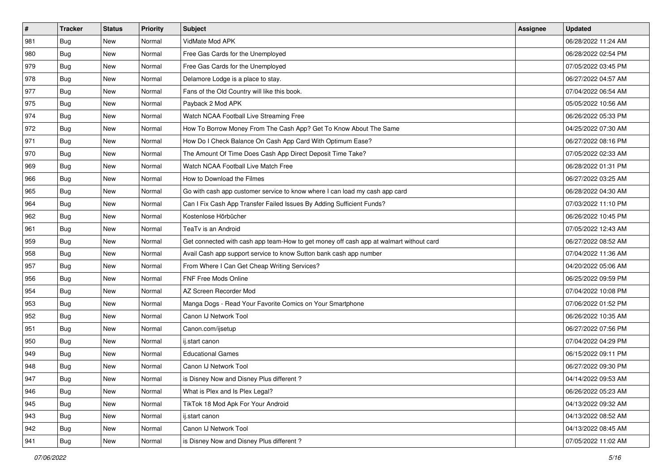| $\sharp$ | <b>Tracker</b> | <b>Status</b> | <b>Priority</b> | <b>Subject</b>                                                                         | <b>Assignee</b> | <b>Updated</b>      |
|----------|----------------|---------------|-----------------|----------------------------------------------------------------------------------------|-----------------|---------------------|
| 981      | <b>Bug</b>     | New           | Normal          | VidMate Mod APK                                                                        |                 | 06/28/2022 11:24 AM |
| 980      | <b>Bug</b>     | <b>New</b>    | Normal          | Free Gas Cards for the Unemployed                                                      |                 | 06/28/2022 02:54 PM |
| 979      | Bug            | New           | Normal          | Free Gas Cards for the Unemployed                                                      |                 | 07/05/2022 03:45 PM |
| 978      | Bug            | New           | Normal          | Delamore Lodge is a place to stay.                                                     |                 | 06/27/2022 04:57 AM |
| 977      | Bug            | <b>New</b>    | Normal          | Fans of the Old Country will like this book.                                           |                 | 07/04/2022 06:54 AM |
| 975      | Bug            | New           | Normal          | Payback 2 Mod APK                                                                      |                 | 05/05/2022 10:56 AM |
| 974      | Bug            | New           | Normal          | Watch NCAA Football Live Streaming Free                                                |                 | 06/26/2022 05:33 PM |
| 972      | Bug            | New           | Normal          | How To Borrow Money From The Cash App? Get To Know About The Same                      |                 | 04/25/2022 07:30 AM |
| 971      | <b>Bug</b>     | New           | Normal          | How Do I Check Balance On Cash App Card With Optimum Ease?                             |                 | 06/27/2022 08:16 PM |
| 970      | Bug            | <b>New</b>    | Normal          | The Amount Of Time Does Cash App Direct Deposit Time Take?                             |                 | 07/05/2022 02:33 AM |
| 969      | Bug            | <b>New</b>    | Normal          | Watch NCAA Football Live Match Free                                                    |                 | 06/28/2022 01:31 PM |
| 966      | <b>Bug</b>     | New           | Normal          | How to Download the Filmes                                                             |                 | 06/27/2022 03:25 AM |
| 965      | Bug            | New           | Normal          | Go with cash app customer service to know where I can load my cash app card            |                 | 06/28/2022 04:30 AM |
| 964      | <b>Bug</b>     | New           | Normal          | Can I Fix Cash App Transfer Failed Issues By Adding Sufficient Funds?                  |                 | 07/03/2022 11:10 PM |
| 962      | Bug            | <b>New</b>    | Normal          | Kostenlose Hörbücher                                                                   |                 | 06/26/2022 10:45 PM |
| 961      | Bug            | New           | Normal          | TeaTv is an Android                                                                    |                 | 07/05/2022 12:43 AM |
| 959      | Bug            | New           | Normal          | Get connected with cash app team-How to get money off cash app at walmart without card |                 | 06/27/2022 08:52 AM |
| 958      | Bug            | <b>New</b>    | Normal          | Avail Cash app support service to know Sutton bank cash app number                     |                 | 07/04/2022 11:36 AM |
| 957      | Bug            | New           | Normal          | From Where I Can Get Cheap Writing Services?                                           |                 | 04/20/2022 05:06 AM |
| 956      | <b>Bug</b>     | <b>New</b>    | Normal          | FNF Free Mods Online                                                                   |                 | 06/25/2022 09:59 PM |
| 954      | <b>Bug</b>     | New           | Normal          | AZ Screen Recorder Mod                                                                 |                 | 07/04/2022 10:08 PM |
| 953      | <b>Bug</b>     | <b>New</b>    | Normal          | Manga Dogs - Read Your Favorite Comics on Your Smartphone                              |                 | 07/06/2022 01:52 PM |
| 952      | Bug            | <b>New</b>    | Normal          | Canon IJ Network Tool                                                                  |                 | 06/26/2022 10:35 AM |
| 951      | <b>Bug</b>     | New           | Normal          | Canon.com/ijsetup                                                                      |                 | 06/27/2022 07:56 PM |
| 950      | <b>Bug</b>     | New           | Normal          | ij.start canon                                                                         |                 | 07/04/2022 04:29 PM |
| 949      | <b>Bug</b>     | New           | Normal          | <b>Educational Games</b>                                                               |                 | 06/15/2022 09:11 PM |
| 948      | <b>Bug</b>     | New           | Normal          | Canon IJ Network Tool                                                                  |                 | 06/27/2022 09:30 PM |
| 947      | I Bug          | New           | Normal          | is Disney Now and Disney Plus different?                                               |                 | 04/14/2022 09:53 AM |
| 946      | Bug            | New           | Normal          | What is Plex and Is Plex Legal?                                                        |                 | 06/26/2022 05:23 AM |
| 945      | Bug            | New           | Normal          | TikTok 18 Mod Apk For Your Android                                                     |                 | 04/13/2022 09:32 AM |
| 943      | Bug            | New           | Normal          | ij.start canon                                                                         |                 | 04/13/2022 08:52 AM |
| 942      | Bug            | New           | Normal          | Canon IJ Network Tool                                                                  |                 | 04/13/2022 08:45 AM |
| 941      | <b>Bug</b>     | New           | Normal          | is Disney Now and Disney Plus different?                                               |                 | 07/05/2022 11:02 AM |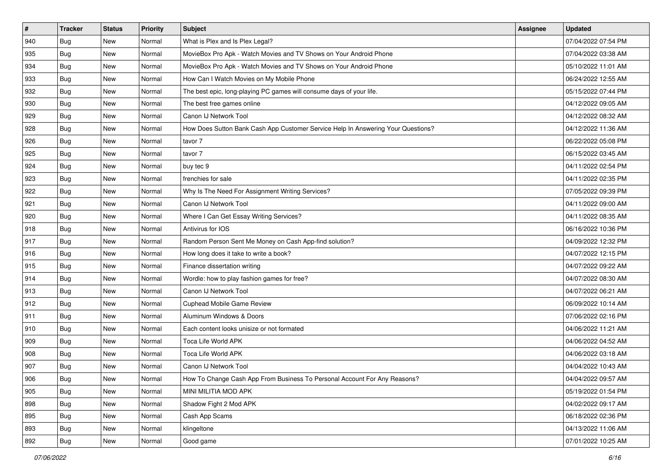| $\sharp$ | <b>Tracker</b> | <b>Status</b> | <b>Priority</b> | <b>Subject</b>                                                                   | <b>Assignee</b> | <b>Updated</b>      |
|----------|----------------|---------------|-----------------|----------------------------------------------------------------------------------|-----------------|---------------------|
| 940      | <b>Bug</b>     | New           | Normal          | What is Plex and Is Plex Legal?                                                  |                 | 07/04/2022 07:54 PM |
| 935      | <b>Bug</b>     | <b>New</b>    | Normal          | MovieBox Pro Apk - Watch Movies and TV Shows on Your Android Phone               |                 | 07/04/2022 03:38 AM |
| 934      | <b>Bug</b>     | New           | Normal          | MovieBox Pro Apk - Watch Movies and TV Shows on Your Android Phone               |                 | 05/10/2022 11:01 AM |
| 933      | <b>Bug</b>     | <b>New</b>    | Normal          | How Can I Watch Movies on My Mobile Phone                                        |                 | 06/24/2022 12:55 AM |
| 932      | Bug            | <b>New</b>    | Normal          | The best epic, long-playing PC games will consume days of your life.             |                 | 05/15/2022 07:44 PM |
| 930      | <b>Bug</b>     | New           | Normal          | The best free games online                                                       |                 | 04/12/2022 09:05 AM |
| 929      | Bug            | New           | Normal          | Canon IJ Network Tool                                                            |                 | 04/12/2022 08:32 AM |
| 928      | <b>Bug</b>     | New           | Normal          | How Does Sutton Bank Cash App Customer Service Help In Answering Your Questions? |                 | 04/12/2022 11:36 AM |
| 926      | <b>Bug</b>     | New           | Normal          | tavor 7                                                                          |                 | 06/22/2022 05:08 PM |
| 925      | <b>Bug</b>     | <b>New</b>    | Normal          | tavor 7                                                                          |                 | 06/15/2022 03:45 AM |
| 924      | <b>Bug</b>     | New           | Normal          | buy tec 9                                                                        |                 | 04/11/2022 02:54 PM |
| 923      | Bug            | New           | Normal          | frenchies for sale                                                               |                 | 04/11/2022 02:35 PM |
| 922      | Bug            | <b>New</b>    | Normal          | Why Is The Need For Assignment Writing Services?                                 |                 | 07/05/2022 09:39 PM |
| 921      | Bug            | New           | Normal          | Canon IJ Network Tool                                                            |                 | 04/11/2022 09:00 AM |
| 920      | Bug            | <b>New</b>    | Normal          | Where I Can Get Essay Writing Services?                                          |                 | 04/11/2022 08:35 AM |
| 918      | <b>Bug</b>     | New           | Normal          | Antivirus for IOS                                                                |                 | 06/16/2022 10:36 PM |
| 917      | <b>Bug</b>     | New           | Normal          | Random Person Sent Me Money on Cash App-find solution?                           |                 | 04/09/2022 12:32 PM |
| 916      | Bug            | <b>New</b>    | Normal          | How long does it take to write a book?                                           |                 | 04/07/2022 12:15 PM |
| 915      | <b>Bug</b>     | New           | Normal          | Finance dissertation writing                                                     |                 | 04/07/2022 09:22 AM |
| 914      | Bug            | New           | Normal          | Wordle: how to play fashion games for free?                                      |                 | 04/07/2022 08:30 AM |
| 913      | <b>Bug</b>     | New           | Normal          | Canon IJ Network Tool                                                            |                 | 04/07/2022 06:21 AM |
| 912      | Bug            | New           | Normal          | Cuphead Mobile Game Review                                                       |                 | 06/09/2022 10:14 AM |
| 911      | Bug            | <b>New</b>    | Normal          | Aluminum Windows & Doors                                                         |                 | 07/06/2022 02:16 PM |
| 910      | Bug            | New           | Normal          | Each content looks unisize or not formated                                       |                 | 04/06/2022 11:21 AM |
| 909      | <b>Bug</b>     | New           | Normal          | Toca Life World APK                                                              |                 | 04/06/2022 04:52 AM |
| 908      | <b>Bug</b>     | New           | Normal          | Toca Life World APK                                                              |                 | 04/06/2022 03:18 AM |
| 907      | Bug            | New           | Normal          | Canon IJ Network Tool                                                            |                 | 04/04/2022 10:43 AM |
| 906      | <b>Bug</b>     | New           | Normal          | How To Change Cash App From Business To Personal Account For Any Reasons?        |                 | 04/04/2022 09:57 AM |
| 905      | Bug            | New           | Normal          | MINI MILITIA MOD APK                                                             |                 | 05/19/2022 01:54 PM |
| 898      | Bug            | New           | Normal          | Shadow Fight 2 Mod APK                                                           |                 | 04/02/2022 09:17 AM |
| 895      | Bug            | New           | Normal          | Cash App Scams                                                                   |                 | 06/18/2022 02:36 PM |
| 893      | Bug            | New           | Normal          | klingeltone                                                                      |                 | 04/13/2022 11:06 AM |
| 892      | <b>Bug</b>     | New           | Normal          | Good game                                                                        |                 | 07/01/2022 10:25 AM |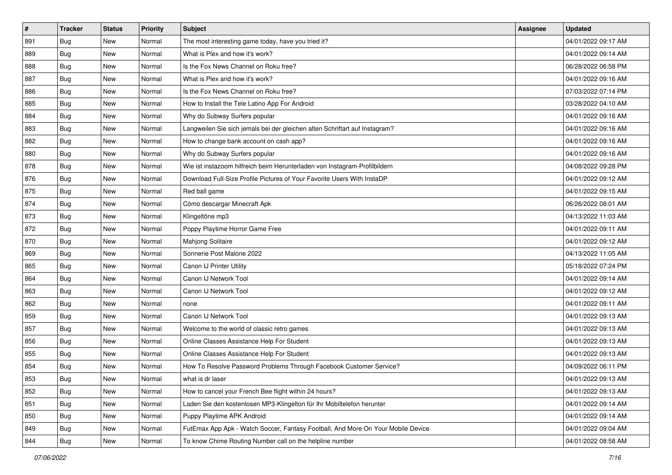| #   | <b>Tracker</b> | <b>Status</b> | <b>Priority</b> | <b>Subject</b>                                                                   | <b>Assignee</b> | <b>Updated</b>      |
|-----|----------------|---------------|-----------------|----------------------------------------------------------------------------------|-----------------|---------------------|
| 891 | <b>Bug</b>     | New           | Normal          | The most interesting game today, have you tried it?                              |                 | 04/01/2022 09:17 AM |
| 889 | Bug            | New           | Normal          | What is Plex and how it's work?                                                  |                 | 04/01/2022 09:14 AM |
| 888 | <b>Bug</b>     | New           | Normal          | Is the Fox News Channel on Roku free?                                            |                 | 06/28/2022 06:58 PM |
| 887 | <b>Bug</b>     | New           | Normal          | What is Plex and how it's work?                                                  |                 | 04/01/2022 09:16 AM |
| 886 | Bug            | New           | Normal          | Is the Fox News Channel on Roku free?                                            |                 | 07/03/2022 07:14 PM |
| 885 | <b>Bug</b>     | New           | Normal          | How to Install the Tele Latino App For Android                                   |                 | 03/28/2022 04:10 AM |
| 884 | Bug            | New           | Normal          | Why do Subway Surfers popular                                                    |                 | 04/01/2022 09:16 AM |
| 883 | Bug            | New           | Normal          | Langweilen Sie sich jemals bei der gleichen alten Schriftart auf Instagram?      |                 | 04/01/2022 09:16 AM |
| 882 | <b>Bug</b>     | New           | Normal          | How to change bank account on cash app?                                          |                 | 04/01/2022 09:16 AM |
| 880 | Bug            | New           | Normal          | Why do Subway Surfers popular                                                    |                 | 04/01/2022 09:16 AM |
| 878 | Bug            | New           | Normal          | Wie ist instazoom hilfreich beim Herunterladen von Instagram-Profilbildern       |                 | 04/08/2022 09:28 PM |
| 876 | <b>Bug</b>     | New           | Normal          | Download Full-Size Profile Pictures of Your Favorite Users With InstaDP          |                 | 04/01/2022 09:12 AM |
| 875 | Bug            | New           | Normal          | Red ball game                                                                    |                 | 04/01/2022 09:15 AM |
| 874 | Bug            | New           | Normal          | Cómo descargar Minecraft Apk                                                     |                 | 06/26/2022 08:01 AM |
| 873 | <b>Bug</b>     | New           | Normal          | Klingeltöne mp3                                                                  |                 | 04/13/2022 11:03 AM |
| 872 | Bug            | New           | Normal          | Poppy Playtime Horror Game Free                                                  |                 | 04/01/2022 09:11 AM |
| 870 | <b>Bug</b>     | New           | Normal          | Mahjong Solitaire                                                                |                 | 04/01/2022 09:12 AM |
| 869 | Bug            | New           | Normal          | Sonnerie Post Malone 2022                                                        |                 | 04/13/2022 11:05 AM |
| 865 | <b>Bug</b>     | New           | Normal          | Canon IJ Printer Utility                                                         |                 | 05/18/2022 07:24 PM |
| 864 | Bug            | New           | Normal          | Canon IJ Network Tool                                                            |                 | 04/01/2022 09:14 AM |
| 863 | <b>Bug</b>     | New           | Normal          | Canon IJ Network Tool                                                            |                 | 04/01/2022 09:12 AM |
| 862 | <b>Bug</b>     | New           | Normal          | none                                                                             |                 | 04/01/2022 09:11 AM |
| 859 | Bug            | New           | Normal          | Canon IJ Network Tool                                                            |                 | 04/01/2022 09:13 AM |
| 857 | Bug            | New           | Normal          | Welcome to the world of classic retro games                                      |                 | 04/01/2022 09:13 AM |
| 856 | Bug            | New           | Normal          | Online Classes Assistance Help For Student                                       |                 | 04/01/2022 09:13 AM |
| 855 | Bug            | New           | Normal          | Online Classes Assistance Help For Student                                       |                 | 04/01/2022 09:13 AM |
| 854 | <b>Bug</b>     | New           | Normal          | How To Resolve Password Problems Through Facebook Customer Service?              |                 | 04/09/2022 06:11 PM |
| 853 | <b>Bug</b>     | New           | Normal          | what is dr laser                                                                 |                 | 04/01/2022 09:13 AM |
| 852 | Bug            | New           | Normal          | How to cancel your French Bee flight within 24 hours?                            |                 | 04/01/2022 09:13 AM |
| 851 | Bug            | New           | Normal          | Laden Sie den kostenlosen MP3-Klingelton für Ihr Mobiltelefon herunter           |                 | 04/01/2022 09:14 AM |
| 850 | Bug            | New           | Normal          | Puppy Playtime APK Android                                                       |                 | 04/01/2022 09:14 AM |
| 849 | Bug            | New           | Normal          | FutEmax App Apk - Watch Soccer, Fantasy Football, And More On Your Mobile Device |                 | 04/01/2022 09:04 AM |
| 844 | <b>Bug</b>     | New           | Normal          | To know Chime Routing Number call on the helpline number                         |                 | 04/01/2022 08:58 AM |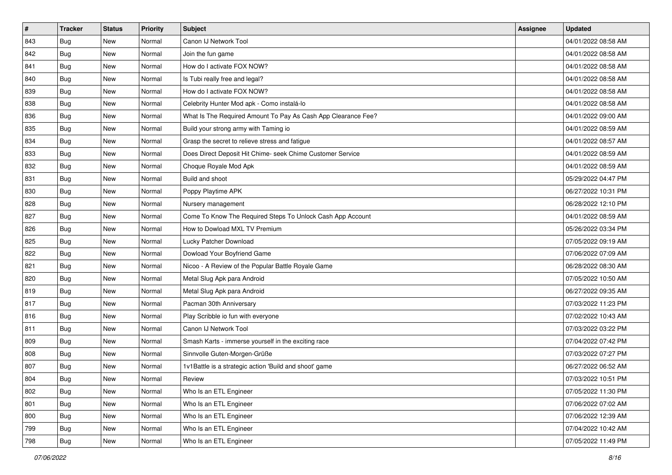| $\sharp$ | <b>Tracker</b> | <b>Status</b> | <b>Priority</b> | Subject                                                       | Assignee | <b>Updated</b>      |
|----------|----------------|---------------|-----------------|---------------------------------------------------------------|----------|---------------------|
| 843      | <b>Bug</b>     | New           | Normal          | Canon IJ Network Tool                                         |          | 04/01/2022 08:58 AM |
| 842      | Bug            | <b>New</b>    | Normal          | Join the fun game                                             |          | 04/01/2022 08:58 AM |
| 841      | Bug            | New           | Normal          | How do I activate FOX NOW?                                    |          | 04/01/2022 08:58 AM |
| 840      | <b>Bug</b>     | New           | Normal          | Is Tubi really free and legal?                                |          | 04/01/2022 08:58 AM |
| 839      | Bug            | New           | Normal          | How do I activate FOX NOW?                                    |          | 04/01/2022 08:58 AM |
| 838      | <b>Bug</b>     | New           | Normal          | Celebrity Hunter Mod apk - Como instalá-lo                    |          | 04/01/2022 08:58 AM |
| 836      | <b>Bug</b>     | New           | Normal          | What Is The Required Amount To Pay As Cash App Clearance Fee? |          | 04/01/2022 09:00 AM |
| 835      | Bug            | New           | Normal          | Build your strong army with Taming io                         |          | 04/01/2022 08:59 AM |
| 834      | <b>Bug</b>     | New           | Normal          | Grasp the secret to relieve stress and fatigue                |          | 04/01/2022 08:57 AM |
| 833      | Bug            | <b>New</b>    | Normal          | Does Direct Deposit Hit Chime- seek Chime Customer Service    |          | 04/01/2022 08:59 AM |
| 832      | <b>Bug</b>     | New           | Normal          | Choque Royale Mod Apk                                         |          | 04/01/2022 08:59 AM |
| 831      | <b>Bug</b>     | New           | Normal          | Build and shoot                                               |          | 05/29/2022 04:47 PM |
| 830      | Bug            | New           | Normal          | Poppy Playtime APK                                            |          | 06/27/2022 10:31 PM |
| 828      | Bug            | New           | Normal          | Nursery management                                            |          | 06/28/2022 12:10 PM |
| 827      | Bug            | <b>New</b>    | Normal          | Come To Know The Required Steps To Unlock Cash App Account    |          | 04/01/2022 08:59 AM |
| 826      | <b>Bug</b>     | New           | Normal          | How to Dowload MXL TV Premium                                 |          | 05/26/2022 03:34 PM |
| 825      | <b>Bug</b>     | New           | Normal          | Lucky Patcher Download                                        |          | 07/05/2022 09:19 AM |
| 822      | Bug            | <b>New</b>    | Normal          | Dowload Your Boyfriend Game                                   |          | 07/06/2022 07:09 AM |
| 821      | Bug            | New           | Normal          | Nicoo - A Review of the Popular Battle Royale Game            |          | 06/28/2022 08:30 AM |
| 820      | Bug            | New           | Normal          | Metal Slug Apk para Android                                   |          | 07/05/2022 10:50 AM |
| 819      | <b>Bug</b>     | New           | Normal          | Metal Slug Apk para Android                                   |          | 06/27/2022 09:35 AM |
| 817      | <b>Bug</b>     | New           | Normal          | Pacman 30th Anniversary                                       |          | 07/03/2022 11:23 PM |
| 816      | Bug            | <b>New</b>    | Normal          | Play Scribble io fun with everyone                            |          | 07/02/2022 10:43 AM |
| 811      | <b>Bug</b>     | New           | Normal          | Canon IJ Network Tool                                         |          | 07/03/2022 03:22 PM |
| 809      | <b>Bug</b>     | New           | Normal          | Smash Karts - immerse yourself in the exciting race           |          | 07/04/2022 07:42 PM |
| 808      | <b>Bug</b>     | New           | Normal          | Sinnvolle Guten-Morgen-Grüße                                  |          | 07/03/2022 07:27 PM |
| 807      | <b>Bug</b>     | New           | Normal          | 1v1Battle is a strategic action 'Build and shoot' game        |          | 06/27/2022 06:52 AM |
| 804      | <b>Bug</b>     | New           | Normal          | Review                                                        |          | 07/03/2022 10:51 PM |
| 802      | Bug            | New           | Normal          | Who Is an ETL Engineer                                        |          | 07/05/2022 11:30 PM |
| 801      | Bug            | New           | Normal          | Who Is an ETL Engineer                                        |          | 07/06/2022 07:02 AM |
| 800      | Bug            | New           | Normal          | Who Is an ETL Engineer                                        |          | 07/06/2022 12:39 AM |
| 799      | Bug            | New           | Normal          | Who Is an ETL Engineer                                        |          | 07/04/2022 10:42 AM |
| 798      | <b>Bug</b>     | New           | Normal          | Who Is an ETL Engineer                                        |          | 07/05/2022 11:49 PM |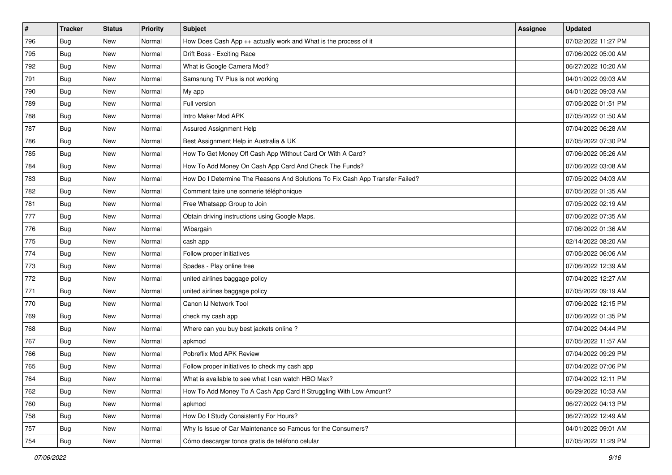| #   | <b>Tracker</b> | <b>Status</b> | <b>Priority</b> | <b>Subject</b>                                                                | <b>Assignee</b> | <b>Updated</b>      |
|-----|----------------|---------------|-----------------|-------------------------------------------------------------------------------|-----------------|---------------------|
| 796 | Bug            | New           | Normal          | How Does Cash App ++ actually work and What is the process of it              |                 | 07/02/2022 11:27 PM |
| 795 | Bug            | New           | Normal          | Drift Boss - Exciting Race                                                    |                 | 07/06/2022 05:00 AM |
| 792 | Bug            | New           | Normal          | What is Google Camera Mod?                                                    |                 | 06/27/2022 10:20 AM |
| 791 | Bug            | New           | Normal          | Samsnung TV Plus is not working                                               |                 | 04/01/2022 09:03 AM |
| 790 | <b>Bug</b>     | <b>New</b>    | Normal          | My app                                                                        |                 | 04/01/2022 09:03 AM |
| 789 | Bug            | New           | Normal          | Full version                                                                  |                 | 07/05/2022 01:51 PM |
| 788 | <b>Bug</b>     | New           | Normal          | Intro Maker Mod APK                                                           |                 | 07/05/2022 01:50 AM |
| 787 | Bug            | New           | Normal          | Assured Assignment Help                                                       |                 | 07/04/2022 06:28 AM |
| 786 | Bug            | New           | Normal          | Best Assignment Help in Australia & UK                                        |                 | 07/05/2022 07:30 PM |
| 785 | <b>Bug</b>     | New           | Normal          | How To Get Money Off Cash App Without Card Or With A Card?                    |                 | 07/06/2022 05:26 AM |
| 784 | Bug            | New           | Normal          | How To Add Money On Cash App Card And Check The Funds?                        |                 | 07/06/2022 03:08 AM |
| 783 | <b>Bug</b>     | New           | Normal          | How Do I Determine The Reasons And Solutions To Fix Cash App Transfer Failed? |                 | 07/05/2022 04:03 AM |
| 782 | Bug            | New           | Normal          | Comment faire une sonnerie téléphonique                                       |                 | 07/05/2022 01:35 AM |
| 781 | Bug            | New           | Normal          | Free Whatsapp Group to Join                                                   |                 | 07/05/2022 02:19 AM |
| 777 | Bug            | New           | Normal          | Obtain driving instructions using Google Maps.                                |                 | 07/06/2022 07:35 AM |
| 776 | <b>Bug</b>     | New           | Normal          | Wibargain                                                                     |                 | 07/06/2022 01:36 AM |
| 775 | <b>Bug</b>     | New           | Normal          | cash app                                                                      |                 | 02/14/2022 08:20 AM |
| 774 | Bug            | New           | Normal          | Follow proper initiatives                                                     |                 | 07/05/2022 06:06 AM |
| 773 | Bug            | New           | Normal          | Spades - Play online free                                                     |                 | 07/06/2022 12:39 AM |
| 772 | Bug            | New           | Normal          | united airlines baggage policy                                                |                 | 07/04/2022 12:27 AM |
| 771 | <b>Bug</b>     | New           | Normal          | united airlines baggage policy                                                |                 | 07/05/2022 09:19 AM |
| 770 | <b>Bug</b>     | New           | Normal          | Canon IJ Network Tool                                                         |                 | 07/06/2022 12:15 PM |
| 769 | <b>Bug</b>     | New           | Normal          | check my cash app                                                             |                 | 07/06/2022 01:35 PM |
| 768 | Bug            | New           | Normal          | Where can you buy best jackets online?                                        |                 | 07/04/2022 04:44 PM |
| 767 | <b>Bug</b>     | New           | Normal          | apkmod                                                                        |                 | 07/05/2022 11:57 AM |
| 766 | Bug            | New           | Normal          | Pobreflix Mod APK Review                                                      |                 | 07/04/2022 09:29 PM |
| 765 | Bug            | New           | Normal          | Follow proper initiatives to check my cash app                                |                 | 07/04/2022 07:06 PM |
| 764 | Bug            | New           | Normal          | What is available to see what I can watch HBO Max?                            |                 | 07/04/2022 12:11 PM |
| 762 | Bug            | New           | Normal          | How To Add Money To A Cash App Card If Struggling With Low Amount?            |                 | 06/29/2022 10:53 AM |
| 760 | Bug            | New           | Normal          | apkmod                                                                        |                 | 06/27/2022 04:13 PM |
| 758 | <b>Bug</b>     | New           | Normal          | How Do I Study Consistently For Hours?                                        |                 | 06/27/2022 12:49 AM |
| 757 | Bug            | New           | Normal          | Why Is Issue of Car Maintenance so Famous for the Consumers?                  |                 | 04/01/2022 09:01 AM |
| 754 | Bug            | New           | Normal          | Cómo descargar tonos gratis de teléfono celular                               |                 | 07/05/2022 11:29 PM |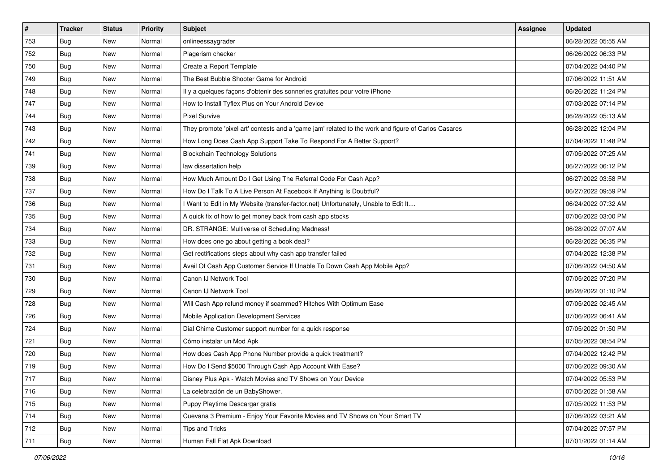| $\vert$ # | <b>Tracker</b> | <b>Status</b> | <b>Priority</b> | Subject                                                                                             | <b>Assignee</b> | <b>Updated</b>      |
|-----------|----------------|---------------|-----------------|-----------------------------------------------------------------------------------------------------|-----------------|---------------------|
| 753       | <b>Bug</b>     | New           | Normal          | onlineessaygrader                                                                                   |                 | 06/28/2022 05:55 AM |
| 752       | Bug            | New           | Normal          | Plagerism checker                                                                                   |                 | 06/26/2022 06:33 PM |
| 750       | Bug            | New           | Normal          | Create a Report Template                                                                            |                 | 07/04/2022 04:40 PM |
| 749       | <b>Bug</b>     | New           | Normal          | The Best Bubble Shooter Game for Android                                                            |                 | 07/06/2022 11:51 AM |
| 748       | Bug            | New           | Normal          | Il y a quelques façons d'obtenir des sonneries gratuites pour votre iPhone                          |                 | 06/26/2022 11:24 PM |
| 747       | <b>Bug</b>     | New           | Normal          | How to Install Tyflex Plus on Your Android Device                                                   |                 | 07/03/2022 07:14 PM |
| 744       | Bug            | New           | Normal          | <b>Pixel Survive</b>                                                                                |                 | 06/28/2022 05:13 AM |
| 743       | <b>Bug</b>     | New           | Normal          | They promote 'pixel art' contests and a 'game jam' related to the work and figure of Carlos Casares |                 | 06/28/2022 12:04 PM |
| 742       | <b>Bug</b>     | New           | Normal          | How Long Does Cash App Support Take To Respond For A Better Support?                                |                 | 07/04/2022 11:48 PM |
| 741       | Bug            | New           | Normal          | <b>Blockchain Technology Solutions</b>                                                              |                 | 07/05/2022 07:25 AM |
| 739       | Bug            | New           | Normal          | law dissertation help                                                                               |                 | 06/27/2022 06:12 PM |
| 738       | Bug            | New           | Normal          | How Much Amount Do I Get Using The Referral Code For Cash App?                                      |                 | 06/27/2022 03:58 PM |
| 737       | Bug            | New           | Normal          | How Do I Talk To A Live Person At Facebook If Anything Is Doubtful?                                 |                 | 06/27/2022 09:59 PM |
| 736       | <b>Bug</b>     | New           | Normal          | I Want to Edit in My Website (transfer-factor.net) Unfortunately, Unable to Edit It                 |                 | 06/24/2022 07:32 AM |
| 735       | <b>Bug</b>     | New           | Normal          | A quick fix of how to get money back from cash app stocks                                           |                 | 07/06/2022 03:00 PM |
| 734       | Bug            | New           | Normal          | DR. STRANGE: Multiverse of Scheduling Madness!                                                      |                 | 06/28/2022 07:07 AM |
| 733       | <b>Bug</b>     | New           | Normal          | How does one go about getting a book deal?                                                          |                 | 06/28/2022 06:35 PM |
| 732       | Bug            | New           | Normal          | Get rectifications steps about why cash app transfer failed                                         |                 | 07/04/2022 12:38 PM |
| 731       | <b>Bug</b>     | New           | Normal          | Avail Of Cash App Customer Service If Unable To Down Cash App Mobile App?                           |                 | 07/06/2022 04:50 AM |
| 730       | <b>Bug</b>     | New           | Normal          | Canon IJ Network Tool                                                                               |                 | 07/05/2022 07:20 PM |
| 729       | <b>Bug</b>     | New           | Normal          | Canon IJ Network Tool                                                                               |                 | 06/28/2022 01:10 PM |
| 728       | <b>Bug</b>     | New           | Normal          | Will Cash App refund money if scammed? Hitches With Optimum Ease                                    |                 | 07/05/2022 02:45 AM |
| 726       | Bug            | New           | Normal          | Mobile Application Development Services                                                             |                 | 07/06/2022 06:41 AM |
| 724       | <b>Bug</b>     | New           | Normal          | Dial Chime Customer support number for a quick response                                             |                 | 07/05/2022 01:50 PM |
| 721       | Bug            | New           | Normal          | Cómo instalar un Mod Apk                                                                            |                 | 07/05/2022 08:54 PM |
| 720       | <b>Bug</b>     | New           | Normal          | How does Cash App Phone Number provide a quick treatment?                                           |                 | 07/04/2022 12:42 PM |
| 719       | <b>Bug</b>     | New           | Normal          | How Do I Send \$5000 Through Cash App Account With Ease?                                            |                 | 07/06/2022 09:30 AM |
| 717       | i Bug          | New           | Normal          | Disney Plus Apk - Watch Movies and TV Shows on Your Device                                          |                 | 07/04/2022 05:53 PM |
| 716       | Bug            | New           | Normal          | La celebración de un BabyShower.                                                                    |                 | 07/05/2022 01:58 AM |
| 715       | <b>Bug</b>     | New           | Normal          | Puppy Playtime Descargar gratis                                                                     |                 | 07/05/2022 11:53 PM |
| 714       | Bug            | New           | Normal          | Cuevana 3 Premium - Enjoy Your Favorite Movies and TV Shows on Your Smart TV                        |                 | 07/06/2022 03:21 AM |
| 712       | <b>Bug</b>     | New           | Normal          | Tips and Tricks                                                                                     |                 | 07/04/2022 07:57 PM |
| 711       | <b>Bug</b>     | New           | Normal          | Human Fall Flat Apk Download                                                                        |                 | 07/01/2022 01:14 AM |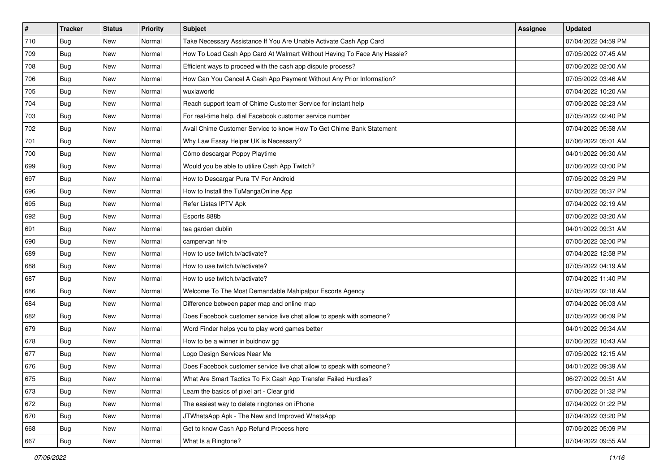| $\vert$ # | <b>Tracker</b> | <b>Status</b> | <b>Priority</b> | <b>Subject</b>                                                          | <b>Assignee</b> | <b>Updated</b>      |
|-----------|----------------|---------------|-----------------|-------------------------------------------------------------------------|-----------------|---------------------|
| 710       | Bug            | New           | Normal          | Take Necessary Assistance If You Are Unable Activate Cash App Card      |                 | 07/04/2022 04:59 PM |
| 709       | Bug            | New           | Normal          | How To Load Cash App Card At Walmart Without Having To Face Any Hassle? |                 | 07/05/2022 07:45 AM |
| 708       | Bug            | New           | Normal          | Efficient ways to proceed with the cash app dispute process?            |                 | 07/06/2022 02:00 AM |
| 706       | Bug            | New           | Normal          | How Can You Cancel A Cash App Payment Without Any Prior Information?    |                 | 07/05/2022 03:46 AM |
| 705       | Bug            | <b>New</b>    | Normal          | wuxiaworld                                                              |                 | 07/04/2022 10:20 AM |
| 704       | <b>Bug</b>     | New           | Normal          | Reach support team of Chime Customer Service for instant help           |                 | 07/05/2022 02:23 AM |
| 703       | <b>Bug</b>     | New           | Normal          | For real-time help, dial Facebook customer service number               |                 | 07/05/2022 02:40 PM |
| 702       | Bug            | <b>New</b>    | Normal          | Avail Chime Customer Service to know How To Get Chime Bank Statement    |                 | 07/04/2022 05:58 AM |
| 701       | <b>Bug</b>     | New           | Normal          | Why Law Essay Helper UK is Necessary?                                   |                 | 07/06/2022 05:01 AM |
| 700       | <b>Bug</b>     | New           | Normal          | Cómo descargar Poppy Playtime                                           |                 | 04/01/2022 09:30 AM |
| 699       | <b>Bug</b>     | New           | Normal          | Would you be able to utilize Cash App Twitch?                           |                 | 07/06/2022 03:00 PM |
| 697       | <b>Bug</b>     | New           | Normal          | How to Descargar Pura TV For Android                                    |                 | 07/05/2022 03:29 PM |
| 696       | Bug            | <b>New</b>    | Normal          | How to Install the TuMangaOnline App                                    |                 | 07/05/2022 05:37 PM |
| 695       | <b>Bug</b>     | <b>New</b>    | Normal          | Refer Listas IPTV Apk                                                   |                 | 07/04/2022 02:19 AM |
| 692       | <b>Bug</b>     | New           | Normal          | Esports 888b                                                            |                 | 07/06/2022 03:20 AM |
| 691       | <b>Bug</b>     | <b>New</b>    | Normal          | tea garden dublin                                                       |                 | 04/01/2022 09:31 AM |
| 690       | Bug            | New           | Normal          | campervan hire                                                          |                 | 07/05/2022 02:00 PM |
| 689       | <b>Bug</b>     | <b>New</b>    | Normal          | How to use twitch.tv/activate?                                          |                 | 07/04/2022 12:58 PM |
| 688       | Bug            | New           | Normal          | How to use twitch.tv/activate?                                          |                 | 07/05/2022 04:19 AM |
| 687       | Bug            | New           | Normal          | How to use twitch.tv/activate?                                          |                 | 07/04/2022 11:40 PM |
| 686       | Bug            | <b>New</b>    | Normal          | Welcome To The Most Demandable Mahipalpur Escorts Agency                |                 | 07/05/2022 02:18 AM |
| 684       | <b>Bug</b>     | New           | Normal          | Difference between paper map and online map                             |                 | 07/04/2022 05:03 AM |
| 682       | <b>Bug</b>     | <b>New</b>    | Normal          | Does Facebook customer service live chat allow to speak with someone?   |                 | 07/05/2022 06:09 PM |
| 679       | Bug            | New           | Normal          | Word Finder helps you to play word games better                         |                 | 04/01/2022 09:34 AM |
| 678       | <b>Bug</b>     | New           | Normal          | How to be a winner in buidnow gg                                        |                 | 07/06/2022 10:43 AM |
| 677       | Bug            | <b>New</b>    | Normal          | Logo Design Services Near Me                                            |                 | 07/05/2022 12:15 AM |
| 676       | Bug            | New           | Normal          | Does Facebook customer service live chat allow to speak with someone?   |                 | 04/01/2022 09:39 AM |
| 675       | Bug            | New           | Normal          | What Are Smart Tactics To Fix Cash App Transfer Failed Hurdles?         |                 | 06/27/2022 09:51 AM |
| 673       | Bug            | New           | Normal          | Learn the basics of pixel art - Clear grid                              |                 | 07/06/2022 01:32 PM |
| 672       | Bug            | New           | Normal          | The easiest way to delete ringtones on iPhone                           |                 | 07/04/2022 01:22 PM |
| 670       | Bug            | New           | Normal          | JTWhatsApp Apk - The New and Improved WhatsApp                          |                 | 07/04/2022 03:20 PM |
| 668       | Bug            | New           | Normal          | Get to know Cash App Refund Process here                                |                 | 07/05/2022 05:09 PM |
| 667       | i Bug          | New           | Normal          | What Is a Ringtone?                                                     |                 | 07/04/2022 09:55 AM |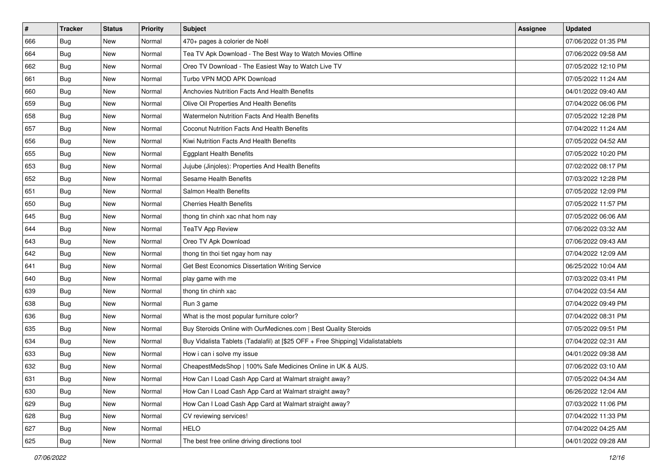| $\vert$ # | <b>Tracker</b> | <b>Status</b> | <b>Priority</b> | Subject                                                                          | <b>Assignee</b> | <b>Updated</b>      |
|-----------|----------------|---------------|-----------------|----------------------------------------------------------------------------------|-----------------|---------------------|
| 666       | <b>Bug</b>     | New           | Normal          | 470+ pages à colorier de Noël                                                    |                 | 07/06/2022 01:35 PM |
| 664       | Bug            | New           | Normal          | Tea TV Apk Download - The Best Way to Watch Movies Offline                       |                 | 07/06/2022 09:58 AM |
| 662       | Bug            | New           | Normal          | Oreo TV Download - The Easiest Way to Watch Live TV                              |                 | 07/05/2022 12:10 PM |
| 661       | Bug            | New           | Normal          | Turbo VPN MOD APK Download                                                       |                 | 07/05/2022 11:24 AM |
| 660       | <b>Bug</b>     | New           | Normal          | Anchovies Nutrition Facts And Health Benefits                                    |                 | 04/01/2022 09:40 AM |
| 659       | Bug            | New           | Normal          | Olive Oil Properties And Health Benefits                                         |                 | 07/04/2022 06:06 PM |
| 658       | Bug            | New           | Normal          | Watermelon Nutrition Facts And Health Benefits                                   |                 | 07/05/2022 12:28 PM |
| 657       | <b>Bug</b>     | <b>New</b>    | Normal          | <b>Coconut Nutrition Facts And Health Benefits</b>                               |                 | 07/04/2022 11:24 AM |
| 656       | <b>Bug</b>     | New           | Normal          | Kiwi Nutrition Facts And Health Benefits                                         |                 | 07/05/2022 04:52 AM |
| 655       | <b>Bug</b>     | <b>New</b>    | Normal          | <b>Eggplant Health Benefits</b>                                                  |                 | 07/05/2022 10:20 PM |
| 653       | Bug            | New           | Normal          | Jujube (Jinjoles): Properties And Health Benefits                                |                 | 07/02/2022 08:17 PM |
| 652       | <b>Bug</b>     | New           | Normal          | <b>Sesame Health Benefits</b>                                                    |                 | 07/03/2022 12:28 PM |
| 651       | Bug            | <b>New</b>    | Normal          | <b>Salmon Health Benefits</b>                                                    |                 | 07/05/2022 12:09 PM |
| 650       | <b>Bug</b>     | New           | Normal          | <b>Cherries Health Benefits</b>                                                  |                 | 07/05/2022 11:57 PM |
| 645       | <b>Bug</b>     | New           | Normal          | thong tin chinh xac nhat hom nay                                                 |                 | 07/05/2022 06:06 AM |
| 644       | <b>Bug</b>     | New           | Normal          | <b>TeaTV App Review</b>                                                          |                 | 07/06/2022 03:32 AM |
| 643       | <b>Bug</b>     | New           | Normal          | Oreo TV Apk Download                                                             |                 | 07/06/2022 09:43 AM |
| 642       | Bug            | New           | Normal          | thong tin thoi tiet ngay hom nay                                                 |                 | 07/04/2022 12:09 AM |
| 641       | <b>Bug</b>     | New           | Normal          | Get Best Economics Dissertation Writing Service                                  |                 | 06/25/2022 10:04 AM |
| 640       | Bug            | New           | Normal          | play game with me                                                                |                 | 07/03/2022 03:41 PM |
| 639       | <b>Bug</b>     | <b>New</b>    | Normal          | thong tin chinh xac                                                              |                 | 07/04/2022 03:54 AM |
| 638       | Bug            | New           | Normal          | Run 3 game                                                                       |                 | 07/04/2022 09:49 PM |
| 636       | Bug            | <b>New</b>    | Normal          | What is the most popular furniture color?                                        |                 | 07/04/2022 08:31 PM |
| 635       | Bug            | New           | Normal          | Buy Steroids Online with OurMedicnes.com   Best Quality Steroids                 |                 | 07/05/2022 09:51 PM |
| 634       | Bug            | New           | Normal          | Buy Vidalista Tablets (Tadalafil) at [\$25 OFF + Free Shipping] Vidalistatablets |                 | 07/04/2022 02:31 AM |
| 633       | Bug            | New           | Normal          | How i can i solve my issue                                                       |                 | 04/01/2022 09:38 AM |
| 632       | Bug            | New           | Normal          | CheapestMedsShop   100% Safe Medicines Online in UK & AUS.                       |                 | 07/06/2022 03:10 AM |
| 631       | Bug            | New           | Normal          | How Can I Load Cash App Card at Walmart straight away?                           |                 | 07/05/2022 04:34 AM |
| 630       | Bug            | New           | Normal          | How Can I Load Cash App Card at Walmart straight away?                           |                 | 06/26/2022 12:04 AM |
| 629       | Bug            | New           | Normal          | How Can I Load Cash App Card at Walmart straight away?                           |                 | 07/03/2022 11:06 PM |
| 628       | Bug            | New           | Normal          | CV reviewing services!                                                           |                 | 07/04/2022 11:33 PM |
| 627       | <b>Bug</b>     | New           | Normal          | <b>HELO</b>                                                                      |                 | 07/04/2022 04:25 AM |
| 625       | <b>Bug</b>     | New           | Normal          | The best free online driving directions tool                                     |                 | 04/01/2022 09:28 AM |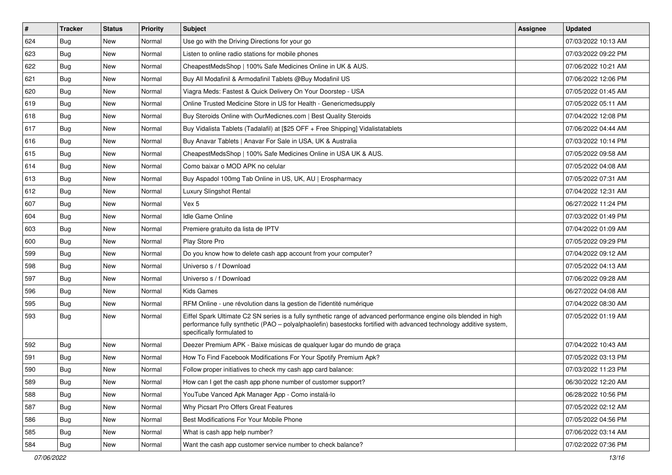| $\vert$ # | <b>Tracker</b> | <b>Status</b> | <b>Priority</b> | Subject                                                                                                                                                                                                                                                               | Assignee | <b>Updated</b>      |
|-----------|----------------|---------------|-----------------|-----------------------------------------------------------------------------------------------------------------------------------------------------------------------------------------------------------------------------------------------------------------------|----------|---------------------|
| 624       | <b>Bug</b>     | New           | Normal          | Use go with the Driving Directions for your go                                                                                                                                                                                                                        |          | 07/03/2022 10:13 AM |
| 623       | Bug            | <b>New</b>    | Normal          | Listen to online radio stations for mobile phones                                                                                                                                                                                                                     |          | 07/03/2022 09:22 PM |
| 622       | Bug            | New           | Normal          | CheapestMedsShop   100% Safe Medicines Online in UK & AUS.                                                                                                                                                                                                            |          | 07/06/2022 10:21 AM |
| 621       | <b>Bug</b>     | <b>New</b>    | Normal          | Buy All Modafinil & Armodafinil Tablets @Buy Modafinil US                                                                                                                                                                                                             |          | 07/06/2022 12:06 PM |
| 620       | Bug            | <b>New</b>    | Normal          | Viagra Meds: Fastest & Quick Delivery On Your Doorstep - USA                                                                                                                                                                                                          |          | 07/05/2022 01:45 AM |
| 619       | <b>Bug</b>     | <b>New</b>    | Normal          | Online Trusted Medicine Store in US for Health - Genericmedsupply                                                                                                                                                                                                     |          | 07/05/2022 05:11 AM |
| 618       | Bug            | New           | Normal          | Buy Steroids Online with OurMedicnes.com   Best Quality Steroids                                                                                                                                                                                                      |          | 07/04/2022 12:08 PM |
| 617       | Bug            | New           | Normal          | Buy Vidalista Tablets (Tadalafil) at [\$25 OFF + Free Shipping] Vidalistatablets                                                                                                                                                                                      |          | 07/06/2022 04:44 AM |
| 616       | Bug            | <b>New</b>    | Normal          | Buy Anavar Tablets   Anavar For Sale in USA, UK & Australia                                                                                                                                                                                                           |          | 07/03/2022 10:14 PM |
| 615       | Bug            | <b>New</b>    | Normal          | CheapestMedsShop   100% Safe Medicines Online in USA UK & AUS.                                                                                                                                                                                                        |          | 07/05/2022 09:58 AM |
| 614       | Bug            | <b>New</b>    | Normal          | Como baixar o MOD APK no celular                                                                                                                                                                                                                                      |          | 07/05/2022 04:08 AM |
| 613       | Bug            | New           | Normal          | Buy Aspadol 100mg Tab Online in US, UK, AU   Erospharmacy                                                                                                                                                                                                             |          | 07/05/2022 07:31 AM |
| 612       | Bug            | <b>New</b>    | Normal          | Luxury Slingshot Rental                                                                                                                                                                                                                                               |          | 07/04/2022 12:31 AM |
| 607       | <b>Bug</b>     | New           | Normal          | Vex 5                                                                                                                                                                                                                                                                 |          | 06/27/2022 11:24 PM |
| 604       | Bug            | <b>New</b>    | Normal          | <b>Idle Game Online</b>                                                                                                                                                                                                                                               |          | 07/03/2022 01:49 PM |
| 603       | Bug            | New           | Normal          | Premiere gratuito da lista de IPTV                                                                                                                                                                                                                                    |          | 07/04/2022 01:09 AM |
| 600       | <b>Bug</b>     | <b>New</b>    | Normal          | Play Store Pro                                                                                                                                                                                                                                                        |          | 07/05/2022 09:29 PM |
| 599       | Bug            | <b>New</b>    | Normal          | Do you know how to delete cash app account from your computer?                                                                                                                                                                                                        |          | 07/04/2022 09:12 AM |
| 598       | <b>Bug</b>     | New           | Normal          | Universo s / f Download                                                                                                                                                                                                                                               |          | 07/05/2022 04:13 AM |
| 597       | Bug            | <b>New</b>    | Normal          | Universo s / f Download                                                                                                                                                                                                                                               |          | 07/06/2022 09:28 AM |
| 596       | Bug            | New           | Normal          | Kids Games                                                                                                                                                                                                                                                            |          | 06/27/2022 04:08 AM |
| 595       | Bug            | <b>New</b>    | Normal          | RFM Online - une révolution dans la gestion de l'identité numérique                                                                                                                                                                                                   |          | 07/04/2022 08:30 AM |
| 593       | Bug            | <b>New</b>    | Normal          | Eiffel Spark Ultimate C2 SN series is a fully synthetic range of advanced performance engine oils blended in high<br>performance fully synthetic (PAO - polyalphaolefin) basestocks fortified with advanced technology additive system,<br>specifically formulated to |          | 07/05/2022 01:19 AM |
| 592       | Bug            | <b>New</b>    | Normal          | Deezer Premium APK - Baixe músicas de qualquer lugar do mundo de graça                                                                                                                                                                                                |          | 07/04/2022 10:43 AM |
| 591       | <b>Bug</b>     | New           | Normal          | How To Find Facebook Modifications For Your Spotify Premium Apk?                                                                                                                                                                                                      |          | 07/05/2022 03:13 PM |
| 590       | Bug            | <b>New</b>    | Normal          | Follow proper initiatives to check my cash app card balance:                                                                                                                                                                                                          |          | 07/03/2022 11:23 PM |
| 589       | Bug            | New           | Normal          | How can I get the cash app phone number of customer support?                                                                                                                                                                                                          |          | 06/30/2022 12:20 AM |
| 588       | Bug            | New           | Normal          | YouTube Vanced Apk Manager App - Como instalá-lo                                                                                                                                                                                                                      |          | 06/28/2022 10:56 PM |
| 587       | Bug            | New           | Normal          | Why Picsart Pro Offers Great Features                                                                                                                                                                                                                                 |          | 07/05/2022 02:12 AM |
| 586       | <b>Bug</b>     | New           | Normal          | Best Modifications For Your Mobile Phone                                                                                                                                                                                                                              |          | 07/05/2022 04:56 PM |
| 585       | Bug            | New           | Normal          | What is cash app help number?                                                                                                                                                                                                                                         |          | 07/06/2022 03:14 AM |
| 584       | <b>Bug</b>     | New           | Normal          | Want the cash app customer service number to check balance?                                                                                                                                                                                                           |          | 07/02/2022 07:36 PM |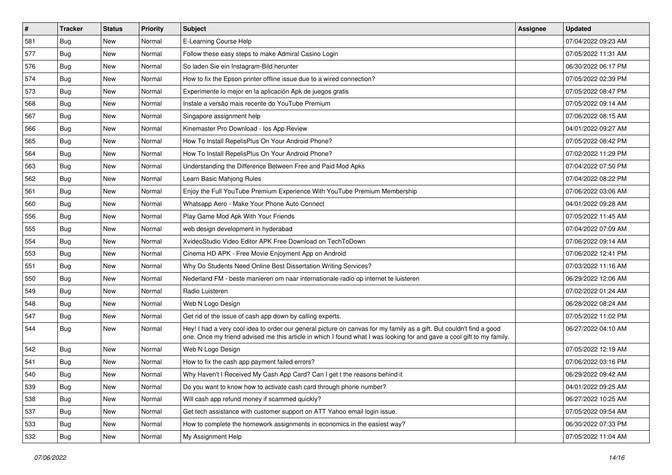| $\sharp$ | <b>Tracker</b> | <b>Status</b> | <b>Priority</b> | Subject                                                                                                                                                                                                                                        | <b>Assignee</b> | <b>Updated</b>      |
|----------|----------------|---------------|-----------------|------------------------------------------------------------------------------------------------------------------------------------------------------------------------------------------------------------------------------------------------|-----------------|---------------------|
| 581      | <b>Bug</b>     | New           | Normal          | E-Learning Course Help                                                                                                                                                                                                                         |                 | 07/04/2022 09:23 AM |
| 577      | Bug            | <b>New</b>    | Normal          | Follow these easy steps to make Admiral Casino Login                                                                                                                                                                                           |                 | 07/05/2022 11:31 AM |
| 576      | Bug            | New           | Normal          | So laden Sie ein Instagram-Bild herunter                                                                                                                                                                                                       |                 | 06/30/2022 06:17 PM |
| 574      | <b>Bug</b>     | <b>New</b>    | Normal          | How to fix the Epson printer offline issue due to a wired connection?                                                                                                                                                                          |                 | 07/05/2022 02:39 PM |
| 573      | Bug            | <b>New</b>    | Normal          | Experimente lo mejor en la aplicación Apk de juegos gratis                                                                                                                                                                                     |                 | 07/05/2022 08:47 PM |
| 568      | <b>Bug</b>     | <b>New</b>    | Normal          | Instale a versão mais recente do YouTube Premium                                                                                                                                                                                               |                 | 07/05/2022 09:14 AM |
| 567      | Bug            | New           | Normal          | Singapore assignment help                                                                                                                                                                                                                      |                 | 07/06/2022 08:15 AM |
| 566      | <b>Bug</b>     | New           | Normal          | Kinemaster Pro Download - los App Review                                                                                                                                                                                                       |                 | 04/01/2022 09:27 AM |
| 565      | Bug            | <b>New</b>    | Normal          | How To Install RepelisPlus On Your Android Phone?                                                                                                                                                                                              |                 | 07/05/2022 08:42 PM |
| 564      | Bug            | <b>New</b>    | Normal          | How To Install RepelisPlus On Your Android Phone?                                                                                                                                                                                              |                 | 07/02/2022 11:29 PM |
| 563      | Bug            | New           | Normal          | Understanding the Difference Between Free and Paid Mod Apks                                                                                                                                                                                    |                 | 07/04/2022 07:50 PM |
| 562      | Bug            | New           | Normal          | Learn Basic Mahjong Rules                                                                                                                                                                                                                      |                 | 07/04/2022 08:22 PM |
| 561      | Bug            | <b>New</b>    | Normal          | Enjoy the Full YouTube Premium Experience With YouTube Premium Membership                                                                                                                                                                      |                 | 07/06/2022 03:06 AM |
| 560      | <b>Bug</b>     | New           | Normal          | Whatsapp Aero - Make Your Phone Auto Connect                                                                                                                                                                                                   |                 | 04/01/2022 09:28 AM |
| 556      | Bug            | <b>New</b>    | Normal          | Play Game Mod Apk With Your Friends                                                                                                                                                                                                            |                 | 07/05/2022 11:45 AM |
| 555      | Bug            | New           | Normal          | web design development in hyderabad                                                                                                                                                                                                            |                 | 07/04/2022 07:09 AM |
| 554      | <b>Bug</b>     | New           | Normal          | XvideoStudio Video Editor APK Free Download on TechToDown                                                                                                                                                                                      |                 | 07/06/2022 09:14 AM |
| 553      | Bug            | <b>New</b>    | Normal          | Cinema HD APK - Free Movie Enjoyment App on Android                                                                                                                                                                                            |                 | 07/06/2022 12:41 PM |
| 551      | <b>Bug</b>     | New           | Normal          | Why Do Students Need Online Best Dissertation Writing Services?                                                                                                                                                                                |                 | 07/03/2022 11:16 AM |
| 550      | Bug            | <b>New</b>    | Normal          | Nederland FM - beste manieren om naar internationale radio op internet te luisteren                                                                                                                                                            |                 | 06/29/2022 12:06 AM |
| 549      | <b>Bug</b>     | New           | Normal          | Radio Luisteren                                                                                                                                                                                                                                |                 | 07/02/2022 01:24 AM |
| 548      | Bug            | New           | Normal          | Web N Logo Design                                                                                                                                                                                                                              |                 | 06/28/2022 08:24 AM |
| 547      | Bug            | <b>New</b>    | Normal          | Get rid of the issue of cash app down by calling experts.                                                                                                                                                                                      |                 | 07/05/2022 11:02 PM |
| 544      | Bug            | New           | Normal          | Hey! I had a very cool idea to order our general picture on canvas for my family as a gift. But couldn't find a good<br>one. Once my friend advised me this article in which I found what I was looking for and gave a cool gift to my family. |                 | 06/27/2022 04:10 AM |
| 542      | Bug            | <b>New</b>    | Normal          | Web N Logo Design                                                                                                                                                                                                                              |                 | 07/05/2022 12:19 AM |
| 541      | Bug            | New           | Normal          | How to fix the cash app payment failed errors?                                                                                                                                                                                                 |                 | 07/06/2022 03:16 PM |
| 540      | <b>Bug</b>     | <b>New</b>    | Normal          | Why Haven't I Received My Cash App Card? Can I get t the reasons behind it                                                                                                                                                                     |                 | 06/29/2022 09:42 AM |
| 539      | Bug            | New           | Normal          | Do you want to know how to activate cash card through phone number?                                                                                                                                                                            |                 | 04/01/2022 09:25 AM |
| 538      | Bug            | New           | Normal          | Will cash app refund money if scammed quickly?                                                                                                                                                                                                 |                 | 06/27/2022 10:25 AM |
| 537      | Bug            | New           | Normal          | Get tech assistance with customer support on ATT Yahoo email login issue.                                                                                                                                                                      |                 | 07/05/2022 09:54 AM |
| 533      | <b>Bug</b>     | New           | Normal          | How to complete the homework assignments in economics in the easiest way?                                                                                                                                                                      |                 | 06/30/2022 07:33 PM |
| 532      | Bug            | New           | Normal          | My Assignment Help                                                                                                                                                                                                                             |                 | 07/05/2022 11:04 AM |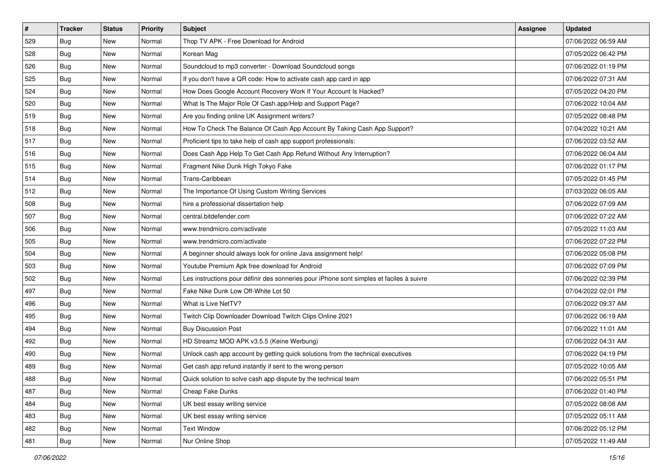| #   | <b>Tracker</b> | <b>Status</b> | <b>Priority</b> | <b>Subject</b>                                                                           | <b>Assignee</b> | <b>Updated</b>      |
|-----|----------------|---------------|-----------------|------------------------------------------------------------------------------------------|-----------------|---------------------|
| 529 | <b>Bug</b>     | New           | Normal          | Thop TV APK - Free Download for Android                                                  |                 | 07/06/2022 06:59 AM |
| 528 | Bug            | New           | Normal          | Korean Mag                                                                               |                 | 07/05/2022 06:42 PM |
| 526 | Bug            | New           | Normal          | Soundcloud to mp3 converter - Download Soundcloud songs                                  |                 | 07/06/2022 01:19 PM |
| 525 | <b>Bug</b>     | New           | Normal          | If you don't have a QR code: How to activate cash app card in app                        |                 | 07/06/2022 07:31 AM |
| 524 | Bug            | New           | Normal          | How Does Google Account Recovery Work If Your Account Is Hacked?                         |                 | 07/05/2022 04:20 PM |
| 520 | Bug            | New           | Normal          | What Is The Major Role Of Cash.app/Help and Support Page?                                |                 | 07/06/2022 10:04 AM |
| 519 | Bug            | New           | Normal          | Are you finding online UK Assignment writers?                                            |                 | 07/05/2022 08:48 PM |
| 518 | <b>Bug</b>     | New           | Normal          | How To Check The Balance Of Cash App Account By Taking Cash App Support?                 |                 | 07/04/2022 10:21 AM |
| 517 | Bug            | New           | Normal          | Proficient tips to take help of cash app support professionals:                          |                 | 07/06/2022 03:52 AM |
| 516 | <b>Bug</b>     | New           | Normal          | Does Cash App Help To Get Cash App Refund Without Any Interruption?                      |                 | 07/06/2022 06:04 AM |
| 515 | <b>Bug</b>     | New           | Normal          | Fragment Nike Dunk High Tokyo Fake                                                       |                 | 07/06/2022 01:17 PM |
| 514 | Bug            | New           | Normal          | Trans-Caribbean                                                                          |                 | 07/05/2022 01:45 PM |
| 512 | Bug            | New           | Normal          | The Importance Of Using Custom Writing Services                                          |                 | 07/03/2022 06:05 AM |
| 508 | <b>Bug</b>     | New           | Normal          | hire a professional dissertation help                                                    |                 | 07/06/2022 07:09 AM |
| 507 | <b>Bug</b>     | New           | Normal          | central.bitdefender.com                                                                  |                 | 07/06/2022 07:22 AM |
| 506 | Bug            | New           | Normal          | www.trendmicro.com/activate                                                              |                 | 07/05/2022 11:03 AM |
| 505 | <b>Bug</b>     | New           | Normal          | www.trendmicro.com/activate                                                              |                 | 07/06/2022 07:22 PM |
| 504 | Bug            | New           | Normal          | A beginner should always look for online Java assignment help!                           |                 | 07/06/2022 05:08 PM |
| 503 | <b>Bug</b>     | New           | Normal          | Youtube Premium Apk free download for Android                                            |                 | 07/06/2022 07:09 PM |
| 502 | Bug            | New           | Normal          | Les instructions pour définir des sonneries pour iPhone sont simples et faciles à suivre |                 | 07/06/2022 02:39 PM |
| 497 | <b>Bug</b>     | New           | Normal          | Fake Nike Dunk Low Off-White Lot 50                                                      |                 | 07/04/2022 02:01 PM |
| 496 | Bug            | New           | Normal          | What is Live NetTV?                                                                      |                 | 07/06/2022 09:37 AM |
| 495 | Bug            | New           | Normal          | Twitch Clip Downloader Download Twitch Clips Online 2021                                 |                 | 07/06/2022 06:19 AM |
| 494 | Bug            | New           | Normal          | <b>Buy Discussion Post</b>                                                               |                 | 07/06/2022 11:01 AM |
| 492 | Bug            | New           | Normal          | HD Streamz MOD APK v3.5.5 (Keine Werbung)                                                |                 | 07/06/2022 04:31 AM |
| 490 | Bug            | New           | Normal          | Unlock cash app account by getting quick solutions from the technical executives         |                 | 07/06/2022 04:19 PM |
| 489 | <b>Bug</b>     | New           | Normal          | Get cash app refund instantly if sent to the wrong person                                |                 | 07/05/2022 10:05 AM |
| 488 | <b>Bug</b>     | New           | Normal          | Quick solution to solve cash app dispute by the technical team                           |                 | 07/06/2022 05:51 PM |
| 487 | Bug            | New           | Normal          | Cheap Fake Dunks                                                                         |                 | 07/06/2022 01:40 PM |
| 484 | Bug            | New           | Normal          | UK best essay writing service                                                            |                 | 07/05/2022 08:08 AM |
| 483 | Bug            | New           | Normal          | UK best essay writing service                                                            |                 | 07/05/2022 05:11 AM |
| 482 | <b>Bug</b>     | New           | Normal          | <b>Text Window</b>                                                                       |                 | 07/06/2022 05:12 PM |
| 481 | <b>Bug</b>     | New           | Normal          | Nur Online Shop                                                                          |                 | 07/05/2022 11:49 AM |